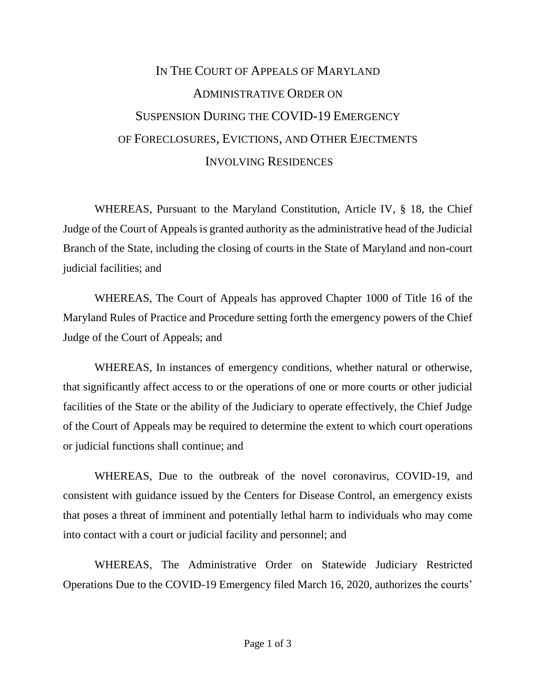## IN THE COURT OF APPEALS OF MARYLAND ADMINISTRATIVE ORDER ON SUSPENSION DURING THE COVID-19 EMERGENCY OF FORECLOSURES, EVICTIONS, AND OTHER EJECTMENTS INVOLVING RESIDENCES

WHEREAS, Pursuant to the Maryland Constitution, Article IV, § 18, the Chief Judge of the Court of Appeals is granted authority as the administrative head of the Judicial Branch of the State, including the closing of courts in the State of Maryland and non-court judicial facilities; and

WHEREAS, The Court of Appeals has approved Chapter 1000 of Title 16 of the Maryland Rules of Practice and Procedure setting forth the emergency powers of the Chief Judge of the Court of Appeals; and

WHEREAS, In instances of emergency conditions, whether natural or otherwise, that significantly affect access to or the operations of one or more courts or other judicial facilities of the State or the ability of the Judiciary to operate effectively, the Chief Judge of the Court of Appeals may be required to determine the extent to which court operations or judicial functions shall continue; and

WHEREAS, Due to the outbreak of the novel coronavirus, COVID-19, and consistent with guidance issued by the Centers for Disease Control, an emergency exists that poses a threat of imminent and potentially lethal harm to individuals who may come into contact with a court or judicial facility and personnel; and

WHEREAS, The Administrative Order on Statewide Judiciary Restricted Operations Due to the COVID-19 Emergency filed March 16, 2020, authorizes the courts'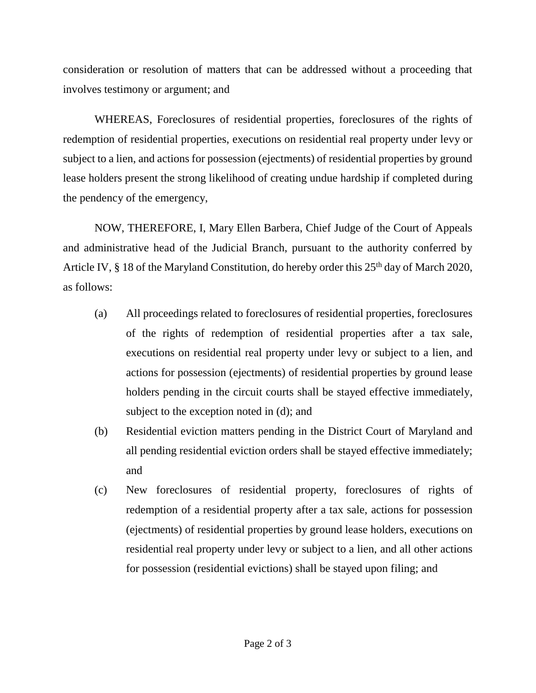consideration or resolution of matters that can be addressed without a proceeding that involves testimony or argument; and

WHEREAS, Foreclosures of residential properties, foreclosures of the rights of redemption of residential properties, executions on residential real property under levy or subject to a lien, and actions for possession (ejectments) of residential properties by ground lease holders present the strong likelihood of creating undue hardship if completed during the pendency of the emergency,

NOW, THEREFORE, I, Mary Ellen Barbera, Chief Judge of the Court of Appeals and administrative head of the Judicial Branch, pursuant to the authority conferred by Article IV, § 18 of the Maryland Constitution, do hereby order this 25<sup>th</sup> day of March 2020, as follows:

- (a) All proceedings related to foreclosures of residential properties, foreclosures of the rights of redemption of residential properties after a tax sale, executions on residential real property under levy or subject to a lien, and actions for possession (ejectments) of residential properties by ground lease holders pending in the circuit courts shall be stayed effective immediately, subject to the exception noted in (d); and
- (b) Residential eviction matters pending in the District Court of Maryland and all pending residential eviction orders shall be stayed effective immediately; and
- (c) New foreclosures of residential property, foreclosures of rights of redemption of a residential property after a tax sale, actions for possession (ejectments) of residential properties by ground lease holders, executions on residential real property under levy or subject to a lien, and all other actions for possession (residential evictions) shall be stayed upon filing; and